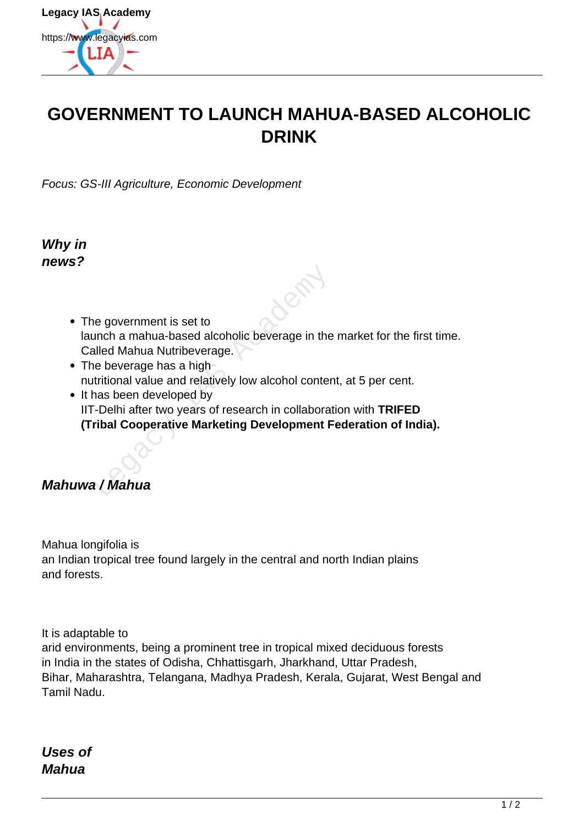

## **GOVERNMENT TO LAUNCH MAHUA-BASED ALCOHOLIC DRINK**

Focus: GS-III Agriculture, Economic Development

**Why in news?**

- The government is set to launch a mahua-based alcoholic beverage in the market for the first time. Called Mahua Nutribeverage.
- The beverage has a high nutritional value and relatively low alcohol content, at 5 per cent.
- It has been developed by IIT-Delhi after two years of research in collaboration with **TRIFED (Tribal Cooperative Marketing Development Federation of India).** The government is set to<br>
unch a mahua-based alcoholic beverage in the<br>
alled Mahua Nutribeverage.<br>
The beverage has a high<br>
tritional value and relatively low alcohol conter<br>
The mas been developed by<br>
The mass of researc

## **Mahuwa / Mahua**

Mahua longifolia is an Indian tropical tree found largely in the central and north Indian plains and forests.

It is adaptable to

arid environments, being a prominent tree in tropical mixed deciduous forests in India in the states of Odisha, Chhattisgarh, Jharkhand, Uttar Pradesh, Bihar, Maharashtra, Telangana, Madhya Pradesh, Kerala, Gujarat, West Bengal and Tamil Nadu.

**Uses of Mahua**